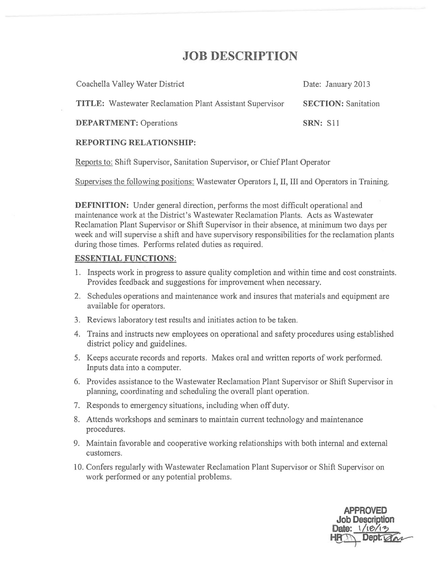# **JOB DESCRIPTION**

| Coachella Valley Water District                                 | Date: January 2013         |
|-----------------------------------------------------------------|----------------------------|
| <b>TITLE:</b> Wastewater Reclamation Plant Assistant Supervisor | <b>SECTION: Sanitation</b> |
| <b>DEPARTMENT: Operations</b>                                   | <b>SRN: S11</b>            |

#### **REPORTING RELATIONSHIP:**

Reports to: Shift Supervisor, Sanitation Supervisor, or Chief Plant Operator

Supervises the following positions: Wastewater Operators I, II, III and Operators in Training.

**DEFINITION:** Under general direction, performs the most difficult operational and maintenance work at the District's Wastewater Reclamation Plants. Acts as Wastewater Reclamation Plant Supervisor or Shift Supervisor in their absence, at minimum two days per week and will supervise a shift and have supervisory responsibilities for the reclamation plants during those times. Performs related duties as required.

#### **ESSENTIAL FUNCTIONS:**

- 1. Inspects work in progress to assure quality completion and within time and cost constraints. Provides feedback and suggestions for improvement when necessary.
- 2. Schedules operations and maintenance work and insures that materials and equipment are available for operators.
- 3. Reviews laboratory test results and initiates action to be taken.
- 4. Trains and instructs new employees on operational and safety procedures using established district policy and guidelines.
- 5. Keeps accurate records and reports. Makes oral and written reports of work perfonned. Inputs data into a computer.
- 6. Provides assistance to the Wastewater Reclamation Plant Supervisor or Shift Supervisor in planning, coordinating and scheduling the overall plant operation.
- 7. Responds to emergency situations, including when off duty.
- 8. Attends workshops and seminars to maintain current technology and maintenance procedures.
- 9. Maintain favorable and cooperative working relationships with both internal and external customers.
- 10. Confers regularly with Wastewater Reclamation Plant Supervisor or Shift Supervisor on work performed or any potential problems.

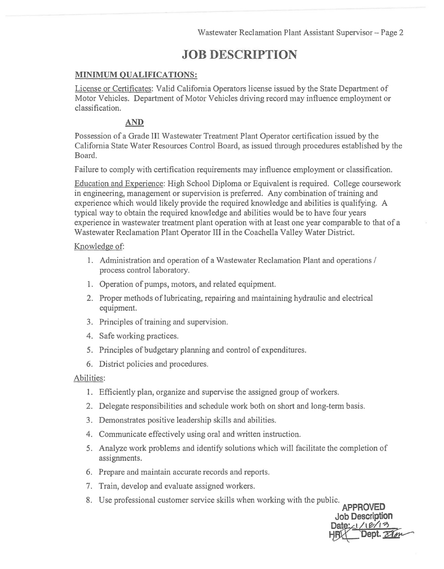# **JOB DESCRIPTION**

### **MINIMUM QUALIFICATIONS:**

License or Certificates: Valid Califomia Operators license issued by the State Department of Motor Vehicles. Department of Motor Vehicles driving record may influence employment or classification.

### **AND**

Possession of a Grade III Wastewater Treatment Plant Operator certification issued by the Califomia State Water Resources Control Board, as issued through procedures established by the Board.

Failure to comply with certification requirements may influence employment or classification.

Education and Experience: High School Diploma or Equivalent is required. College coursework in engineering, management or supervision is preferred. Any combination of training and experience which would likely provide the required knowledge and abilities is qualifying. A typical way to obtain the required knowledge and abilities would be to have four years experience in wastewater treatment plant operation with at least one year comparable to that of a Wastewater Reclamation Plant Operator III in the Coachella Valley Water District.

#### Knowledge of:

- 1. Administration and operation of a Wastewater Reclamation Plant and operations / process control laboratory.
- 1. Operation of pumps, motors, and related equipment.
- 2. Proper methods of lubricating, repairing and maintaining hydraulic and electrical equipment.
- 3. Principles of training and supervision.
- 4. Safe working practices.
- 5. Principles of budgetary planning and control of expenditures.
- 6. District policies and procedures.

#### Abilities:

- 1. Efficiently plan, organize and supervise the assigned group of workers.
- 2. Delegate responsibilities and schedule work both on short and long-term basis.
- 3. Demonstrates positive leadership skills and abilities.
- 4. Communicate effectively using oral and written instruction.
- 5. Analyze work problems and identify solutions which will facilitate the completion of assignments.

**Job Description** 

- 6. Prepare and maintain accurate records and reports.
- 7. Train, develop and evaluate assigned workers.
- 8. Use professional customer service skills when working with the public. **APPROVED**  dic.<br>
APPROVED<br>
Job Description<br>
Date: 1/12/13<br>
HFILL Dept. 27/10